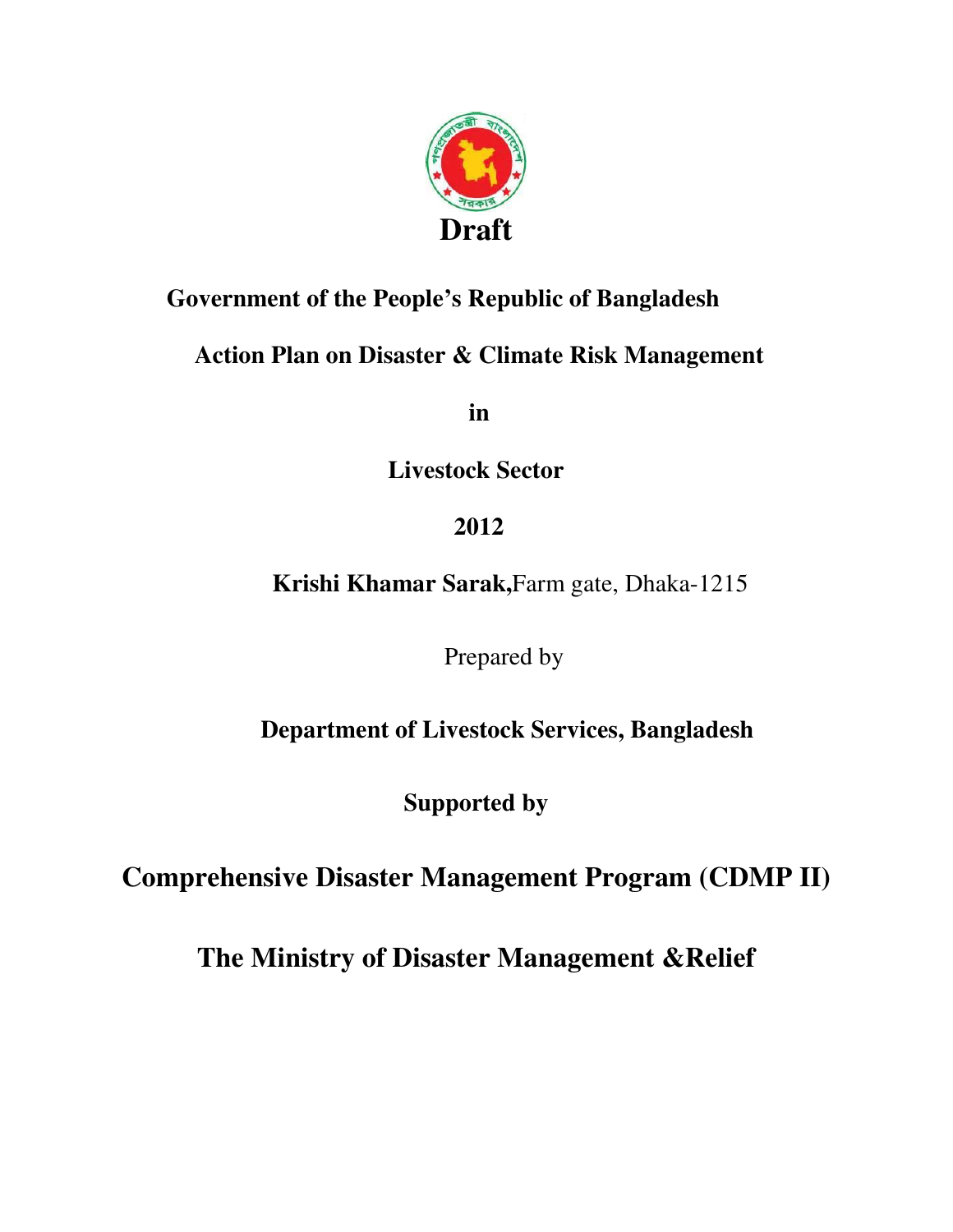

### **Government of the People's Republic of Bangladesh**

### **Action Plan on Disaster & Climate Risk Management**

 **in** 

**Livestock Sector** 

 **2012** 

 **Krishi Khamar Sarak,**Farm gate, Dhaka-1215

Prepared by

 **Department of Livestock Services, Bangladesh** 

**Supported by** 

**Comprehensive Disaster Management Program (CDMP II)**

**The Ministry of Disaster Management &Relief**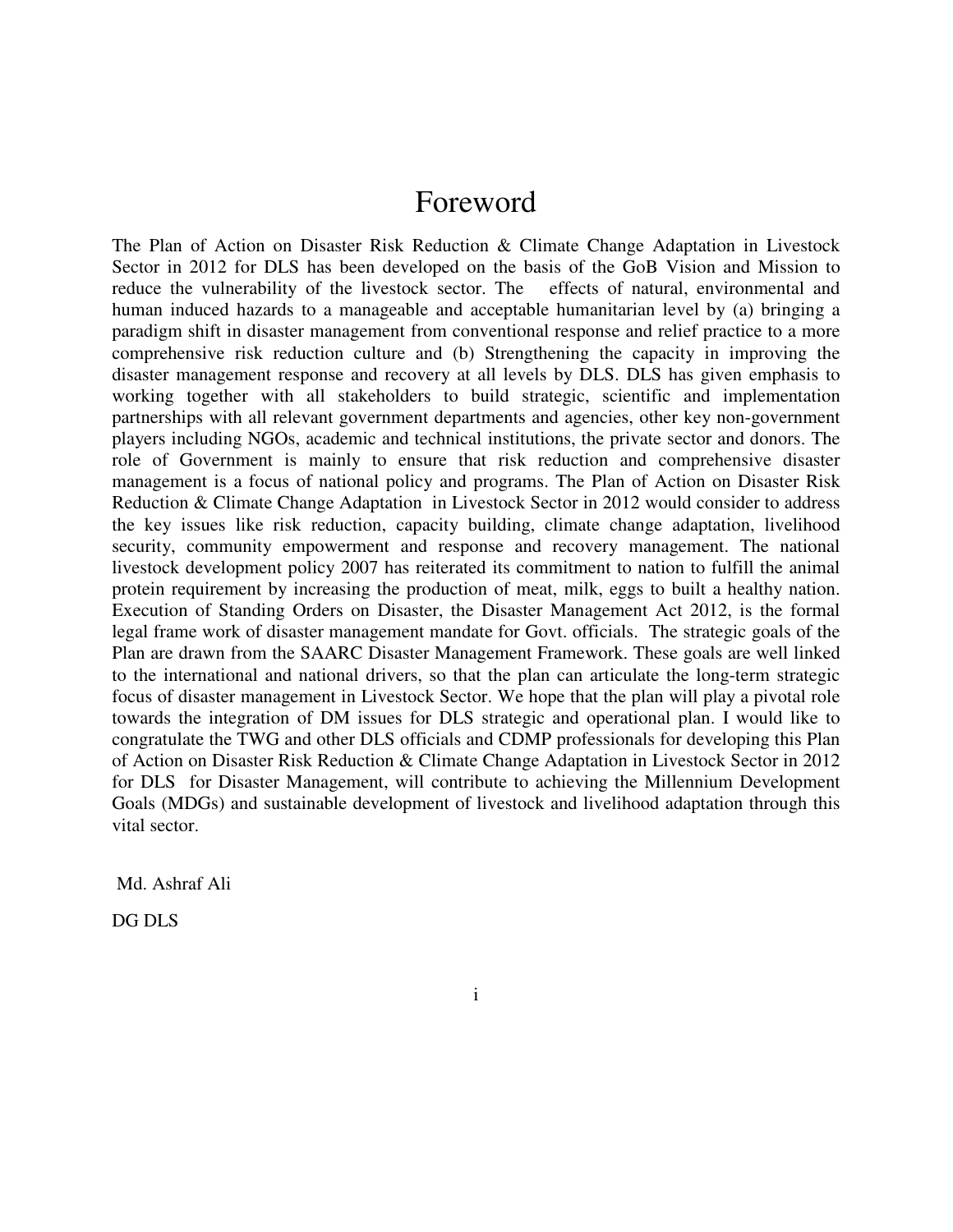### Foreword

The Plan of Action on Disaster Risk Reduction & Climate Change Adaptation in Livestock Sector in 2012 for DLS has been developed on the basis of the GoB Vision and Mission to reduce the vulnerability of the livestock sector. The effects of natural, environmental and human induced hazards to a manageable and acceptable humanitarian level by (a) bringing a paradigm shift in disaster management from conventional response and relief practice to a more comprehensive risk reduction culture and (b) Strengthening the capacity in improving the disaster management response and recovery at all levels by DLS. DLS has given emphasis to working together with all stakeholders to build strategic, scientific and implementation partnerships with all relevant government departments and agencies, other key non-government players including NGOs, academic and technical institutions, the private sector and donors. The role of Government is mainly to ensure that risk reduction and comprehensive disaster management is a focus of national policy and programs. The Plan of Action on Disaster Risk Reduction & Climate Change Adaptation in Livestock Sector in 2012 would consider to address the key issues like risk reduction, capacity building, climate change adaptation, livelihood security, community empowerment and response and recovery management. The national livestock development policy 2007 has reiterated its commitment to nation to fulfill the animal protein requirement by increasing the production of meat, milk, eggs to built a healthy nation. Execution of Standing Orders on Disaster, the Disaster Management Act 2012, is the formal legal frame work of disaster management mandate for Govt. officials. The strategic goals of the Plan are drawn from the SAARC Disaster Management Framework. These goals are well linked to the international and national drivers, so that the plan can articulate the long-term strategic focus of disaster management in Livestock Sector. We hope that the plan will play a pivotal role towards the integration of DM issues for DLS strategic and operational plan. I would like to congratulate the TWG and other DLS officials and CDMP professionals for developing this Plan of Action on Disaster Risk Reduction & Climate Change Adaptation in Livestock Sector in 2012 for DLS for Disaster Management, will contribute to achieving the Millennium Development Goals (MDGs) and sustainable development of livestock and livelihood adaptation through this vital sector.

Md. Ashraf Ali

DG DLS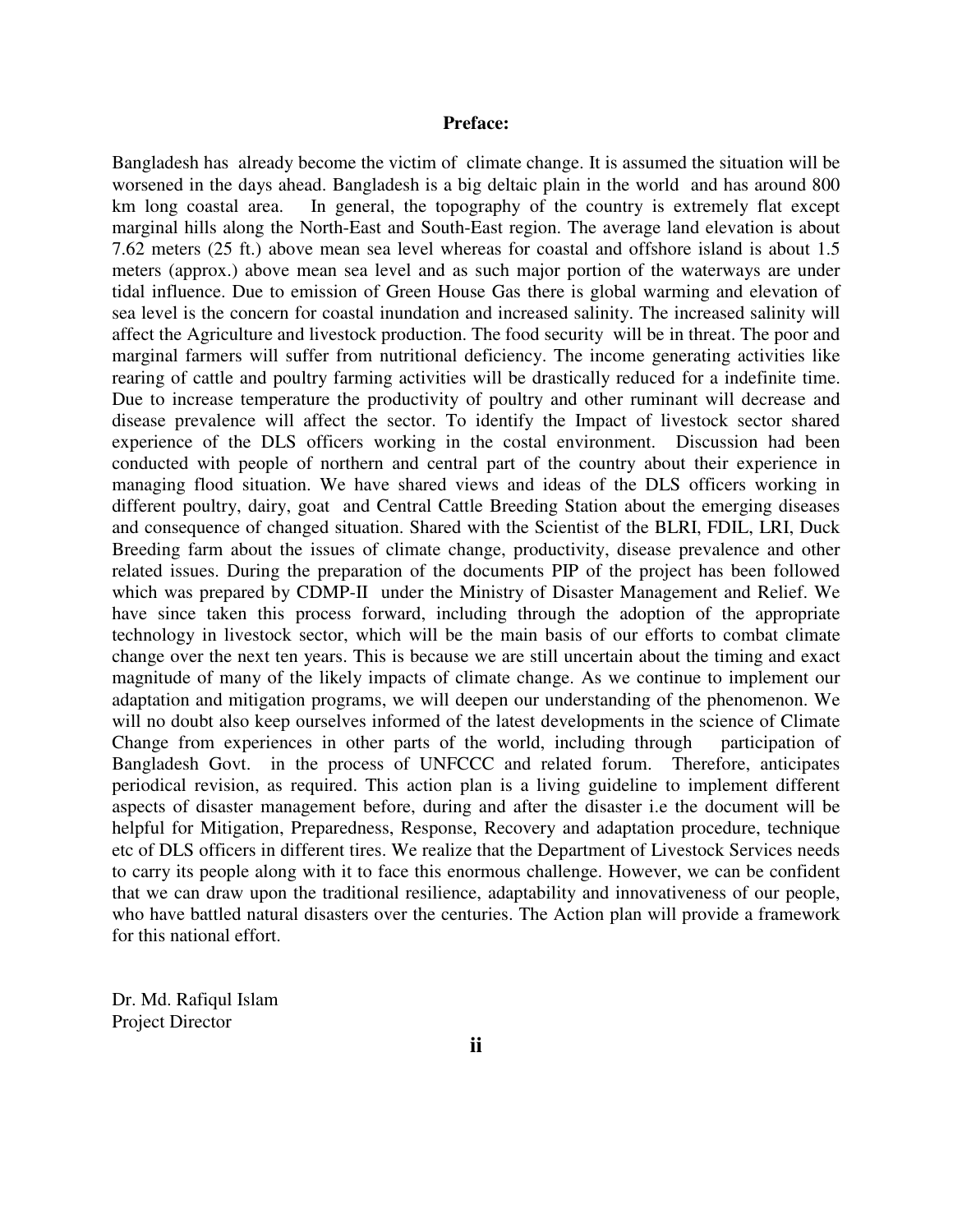#### **Preface:**

Bangladesh has already become the victim of climate change. It is assumed the situation will be worsened in the days ahead. Bangladesh is a big deltaic plain in the world and has around 800 km long coastal area. In general, the topography of the country is extremely flat except marginal hills along the North-East and South-East region. The average land elevation is about 7.62 meters (25 ft.) above mean sea level whereas for coastal and offshore island is about 1.5 meters (approx.) above mean sea level and as such major portion of the waterways are under tidal influence. Due to emission of Green House Gas there is global warming and elevation of sea level is the concern for coastal inundation and increased salinity. The increased salinity will affect the Agriculture and livestock production. The food security will be in threat. The poor and marginal farmers will suffer from nutritional deficiency. The income generating activities like rearing of cattle and poultry farming activities will be drastically reduced for a indefinite time. Due to increase temperature the productivity of poultry and other ruminant will decrease and disease prevalence will affect the sector. To identify the Impact of livestock sector shared experience of the DLS officers working in the costal environment. Discussion had been conducted with people of northern and central part of the country about their experience in managing flood situation. We have shared views and ideas of the DLS officers working in different poultry, dairy, goat and Central Cattle Breeding Station about the emerging diseases and consequence of changed situation. Shared with the Scientist of the BLRI, FDIL, LRI, Duck Breeding farm about the issues of climate change, productivity, disease prevalence and other related issues. During the preparation of the documents PIP of the project has been followed which was prepared by CDMP-II under the Ministry of Disaster Management and Relief. We have since taken this process forward, including through the adoption of the appropriate technology in livestock sector, which will be the main basis of our efforts to combat climate change over the next ten years. This is because we are still uncertain about the timing and exact magnitude of many of the likely impacts of climate change. As we continue to implement our adaptation and mitigation programs, we will deepen our understanding of the phenomenon. We will no doubt also keep ourselves informed of the latest developments in the science of Climate Change from experiences in other parts of the world, including through participation of Bangladesh Govt. in the process of UNFCCC and related forum. Therefore, anticipates periodical revision, as required. This action plan is a living guideline to implement different aspects of disaster management before, during and after the disaster i.e the document will be helpful for Mitigation, Preparedness, Response, Recovery and adaptation procedure, technique etc of DLS officers in different tires. We realize that the Department of Livestock Services needs to carry its people along with it to face this enormous challenge. However, we can be confident that we can draw upon the traditional resilience, adaptability and innovativeness of our people, who have battled natural disasters over the centuries. The Action plan will provide a framework for this national effort.

Dr. Md. Rafiqul Islam Project Director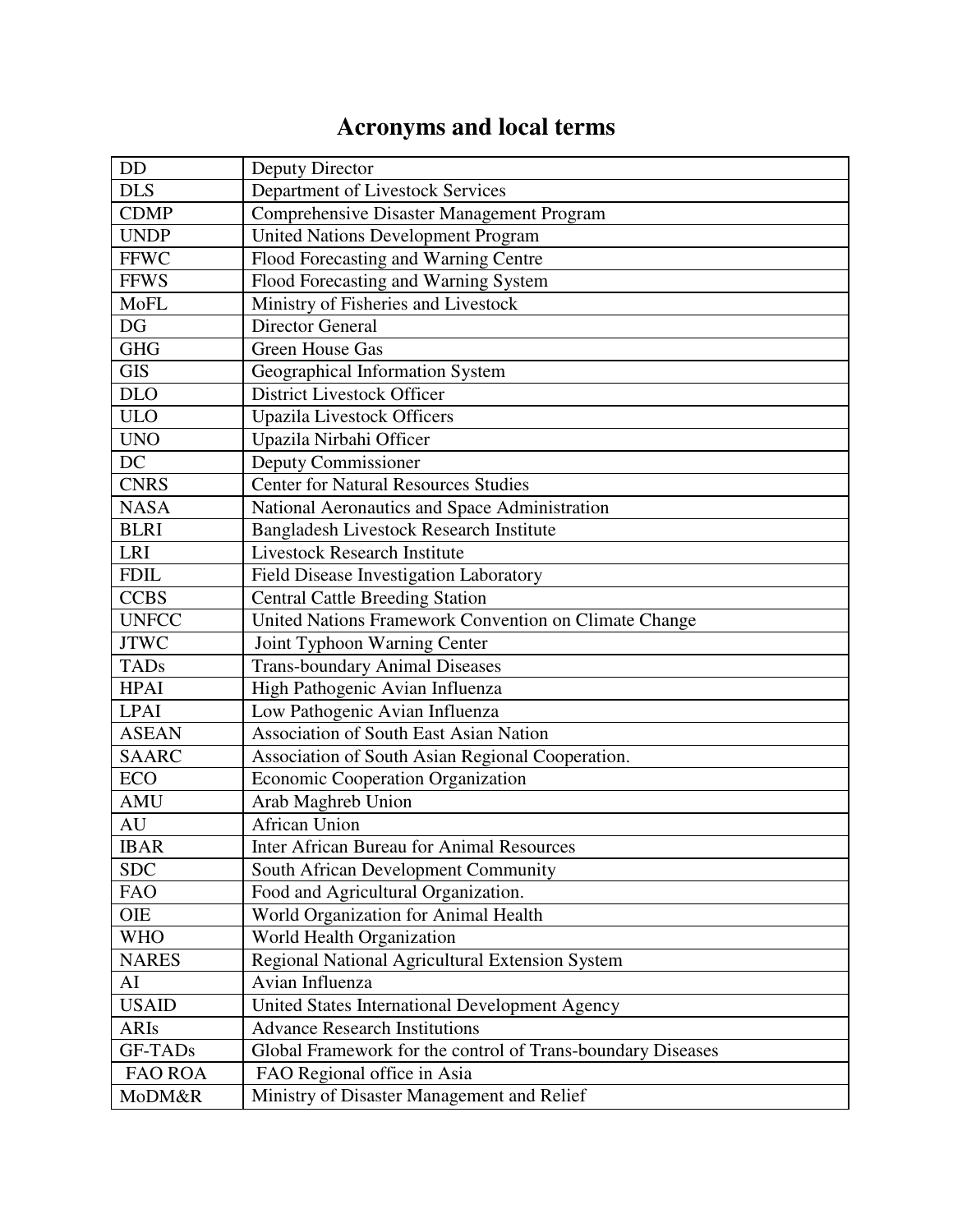# **Acronyms and local terms**

| <b>DD</b>      | Deputy Director                                             |
|----------------|-------------------------------------------------------------|
| <b>DLS</b>     | Department of Livestock Services                            |
| <b>CDMP</b>    | Comprehensive Disaster Management Program                   |
| <b>UNDP</b>    | <b>United Nations Development Program</b>                   |
| <b>FFWC</b>    | Flood Forecasting and Warning Centre                        |
| <b>FFWS</b>    | Flood Forecasting and Warning System                        |
| <b>MoFL</b>    | Ministry of Fisheries and Livestock                         |
| DG             | Director General                                            |
| <b>GHG</b>     | <b>Green House Gas</b>                                      |
| <b>GIS</b>     | Geographical Information System                             |
| <b>DLO</b>     | <b>District Livestock Officer</b>                           |
| <b>ULO</b>     | <b>Upazila Livestock Officers</b>                           |
| <b>UNO</b>     | Upazila Nirbahi Officer                                     |
| DC             | Deputy Commissioner                                         |
| <b>CNRS</b>    | <b>Center for Natural Resources Studies</b>                 |
| <b>NASA</b>    | National Aeronautics and Space Administration               |
| <b>BLRI</b>    | Bangladesh Livestock Research Institute                     |
| <b>LRI</b>     | <b>Livestock Research Institute</b>                         |
| <b>FDIL</b>    | Field Disease Investigation Laboratory                      |
| <b>CCBS</b>    | <b>Central Cattle Breeding Station</b>                      |
| <b>UNFCC</b>   | United Nations Framework Convention on Climate Change       |
| <b>JTWC</b>    | Joint Typhoon Warning Center                                |
| <b>TADs</b>    | <b>Trans-boundary Animal Diseases</b>                       |
| <b>HPAI</b>    | High Pathogenic Avian Influenza                             |
| <b>LPAI</b>    | Low Pathogenic Avian Influenza                              |
| <b>ASEAN</b>   | <b>Association of South East Asian Nation</b>               |
| <b>SAARC</b>   | Association of South Asian Regional Cooperation.            |
| <b>ECO</b>     | Economic Cooperation Organization                           |
| <b>AMU</b>     | Arab Maghreb Union                                          |
| <b>AU</b>      | <b>African Union</b>                                        |
| <b>IBAR</b>    | <b>Inter African Bureau for Animal Resources</b>            |
| <b>SDC</b>     | South African Development Community                         |
| <b>FAO</b>     | Food and Agricultural Organization.                         |
| <b>OIE</b>     | World Organization for Animal Health                        |
| <b>WHO</b>     | World Health Organization                                   |
| <b>NARES</b>   | Regional National Agricultural Extension System             |
| AI             | Avian Influenza                                             |
| <b>USAID</b>   | United States International Development Agency              |
| <b>ARIs</b>    | <b>Advance Research Institutions</b>                        |
| <b>GF-TADs</b> | Global Framework for the control of Trans-boundary Diseases |
| <b>FAO ROA</b> | FAO Regional office in Asia                                 |
| MoDM&R         | Ministry of Disaster Management and Relief                  |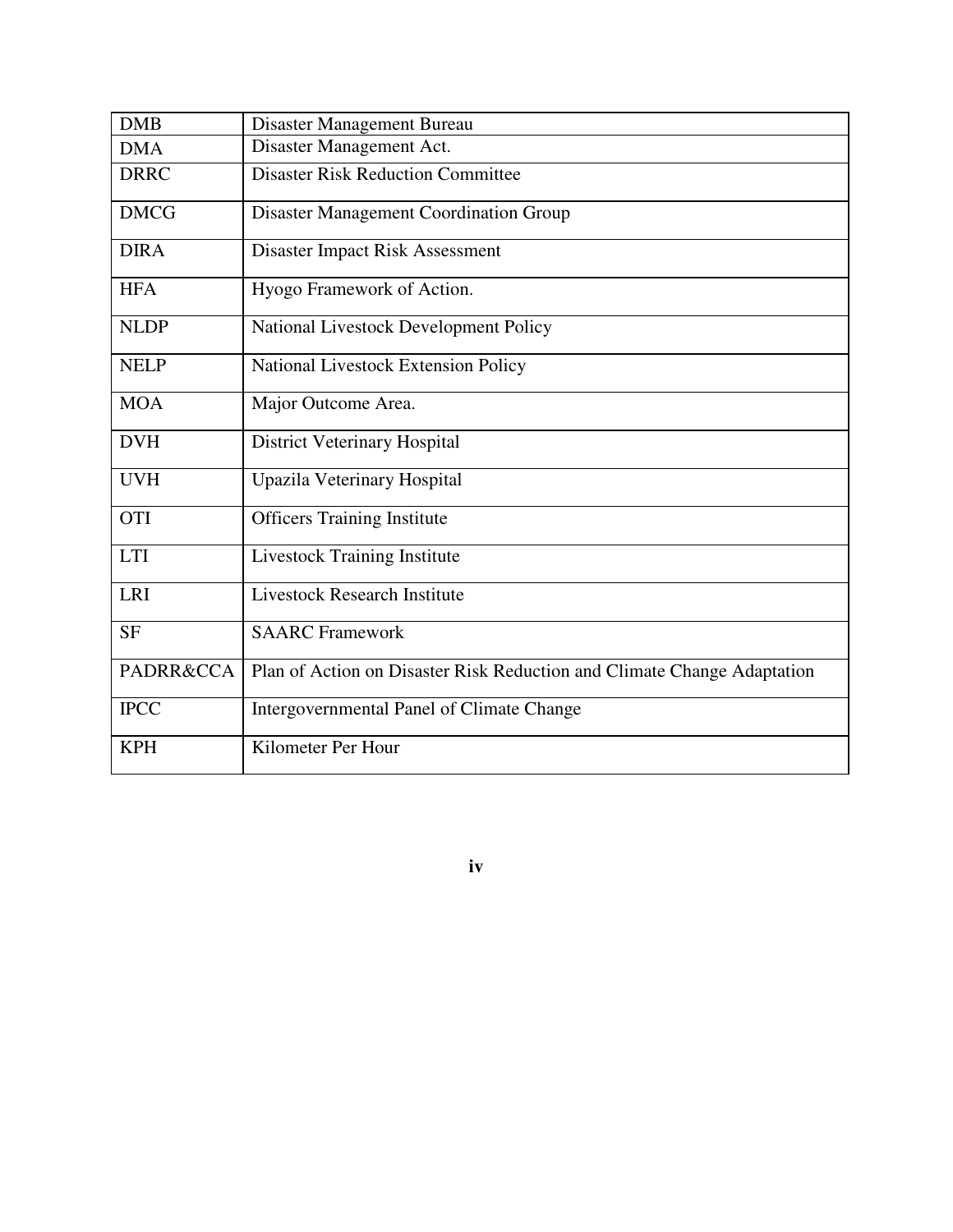| <b>DMB</b>           | Disaster Management Bureau                                              |
|----------------------|-------------------------------------------------------------------------|
| <b>DMA</b>           | Disaster Management Act.                                                |
| <b>DRRC</b>          | <b>Disaster Risk Reduction Committee</b>                                |
| <b>DMCG</b>          | <b>Disaster Management Coordination Group</b>                           |
| <b>DIRA</b>          | Disaster Impact Risk Assessment                                         |
| <b>HFA</b>           | Hyogo Framework of Action.                                              |
| <b>NLDP</b>          | National Livestock Development Policy                                   |
| <b>NELP</b>          | National Livestock Extension Policy                                     |
| <b>MOA</b>           | Major Outcome Area.                                                     |
| <b>DVH</b>           | <b>District Veterinary Hospital</b>                                     |
| <b>UVH</b>           | Upazila Veterinary Hospital                                             |
| <b>OTI</b>           | <b>Officers Training Institute</b>                                      |
| <b>LTI</b>           | <b>Livestock Training Institute</b>                                     |
| <b>LRI</b>           | <b>Livestock Research Institute</b>                                     |
| <b>SF</b>            | <b>SAARC</b> Framework                                                  |
| <b>PADRR&amp;CCA</b> | Plan of Action on Disaster Risk Reduction and Climate Change Adaptation |
| <b>IPCC</b>          | Intergovernmental Panel of Climate Change                               |
| <b>KPH</b>           | Kilometer Per Hour                                                      |

**iv**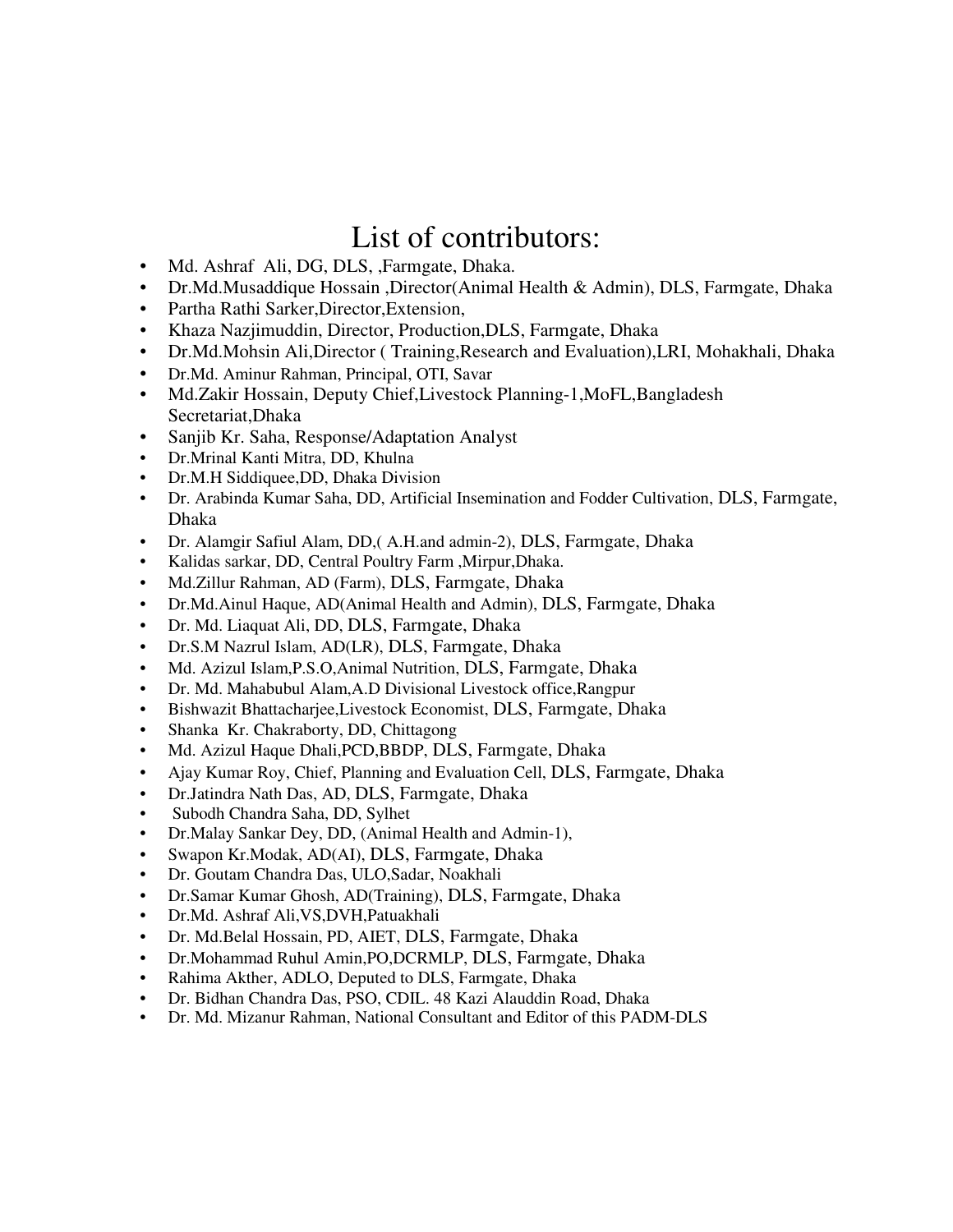## List of contributors:

- Md. Ashraf Ali, DG, DLS, ,Farmgate, Dhaka.
- Dr.Md.Musaddique Hossain ,Director(Animal Health & Admin), DLS, Farmgate, Dhaka
- Partha Rathi Sarker,Director,Extension,
- Khaza Nazjimuddin, Director, Production,DLS, Farmgate, Dhaka
- Dr.Md.Mohsin Ali,Director ( Training,Research and Evaluation),LRI, Mohakhali, Dhaka
- Dr.Md. Aminur Rahman, Principal, OTI, Savar
- Md.Zakir Hossain, Deputy Chief, Livestock Planning-1, MoFL, Bangladesh Secretariat,Dhaka
- Sanjib Kr. Saha, Response/Adaptation Analyst
- Dr.Mrinal Kanti Mitra, DD, Khulna
- Dr.M.H Siddiquee,DD, Dhaka Division
- Dr. Arabinda Kumar Saha, DD, Artificial Insemination and Fodder Cultivation, DLS, Farmgate, Dhaka
- Dr. Alamgir Safiul Alam, DD,( A.H.and admin-2), DLS, Farmgate, Dhaka
- Kalidas sarkar, DD, Central Poultry Farm ,Mirpur,Dhaka.
- Md.Zillur Rahman, AD (Farm), DLS, Farmgate, Dhaka
- Dr.Md.Ainul Haque, AD(Animal Health and Admin), DLS, Farmgate, Dhaka
- Dr. Md. Liaquat Ali, DD, DLS, Farmgate, Dhaka
- Dr.S.M Nazrul Islam, AD(LR), DLS, Farmgate, Dhaka
- Md. Azizul Islam,P.S.O,Animal Nutrition, DLS, Farmgate, Dhaka
- Dr. Md. Mahabubul Alam,A.D Divisional Livestock office,Rangpur
- Bishwazit Bhattacharjee,Livestock Economist, DLS, Farmgate, Dhaka
- Shanka Kr. Chakraborty, DD, Chittagong
- Md. Azizul Haque Dhali,PCD,BBDP, DLS, Farmgate, Dhaka
- Ajay Kumar Roy, Chief, Planning and Evaluation Cell, DLS, Farmgate, Dhaka
- Dr.Jatindra Nath Das, AD, DLS, Farmgate, Dhaka
- Subodh Chandra Saha, DD, Sylhet
- Dr.Malay Sankar Dey, DD, (Animal Health and Admin-1),
- Swapon Kr.Modak, AD(AI), DLS, Farmgate, Dhaka
- Dr. Goutam Chandra Das, ULO,Sadar, Noakhali
- Dr.Samar Kumar Ghosh, AD(Training), DLS, Farmgate, Dhaka
- Dr.Md. Ashraf Ali,VS,DVH,Patuakhali
- Dr. Md.Belal Hossain, PD, AIET, DLS, Farmgate, Dhaka
- Dr.Mohammad Ruhul Amin,PO,DCRMLP, DLS, Farmgate, Dhaka
- Rahima Akther, ADLO, Deputed to DLS, Farmgate, Dhaka
- Dr. Bidhan Chandra Das, PSO, CDIL. 48 Kazi Alauddin Road, Dhaka
- Dr. Md. Mizanur Rahman, National Consultant and Editor of this PADM-DLS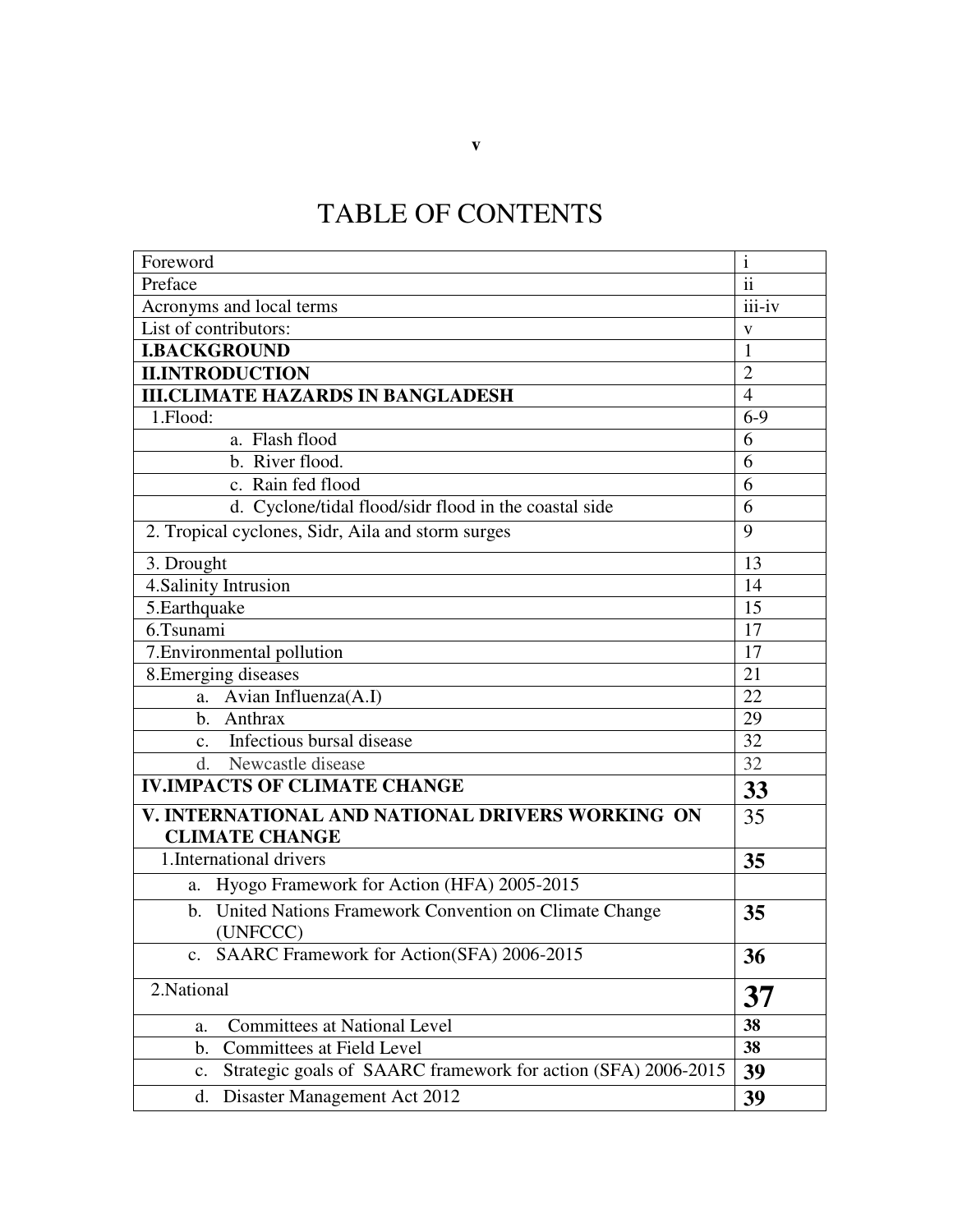# TABLE OF CONTENTS

| Foreword                                                                            | $\mathbf{i}$            |  |
|-------------------------------------------------------------------------------------|-------------------------|--|
| Preface                                                                             | $\mathbf{ii}$<br>iii-iv |  |
| Acronyms and local terms                                                            |                         |  |
| List of contributors:                                                               |                         |  |
| <b>I.BACKGROUND</b>                                                                 | $\mathbf{1}$            |  |
| <b>II.INTRODUCTION</b>                                                              | $\overline{2}$          |  |
| <b>III.CLIMATE HAZARDS IN BANGLADESH</b>                                            | $\overline{4}$          |  |
| 1.Flood:                                                                            | $6-9$                   |  |
| a. Flash flood                                                                      | 6                       |  |
| b. River flood.                                                                     | 6                       |  |
| c. Rain fed flood                                                                   |                         |  |
| d. Cyclone/tidal flood/sidr flood in the coastal side                               | 6                       |  |
| 2. Tropical cyclones, Sidr, Aila and storm surges                                   | 9                       |  |
| 3. Drought                                                                          |                         |  |
| 4. Salinity Intrusion                                                               | 14                      |  |
| 5. Earthquake                                                                       | 15                      |  |
| 6.Tsunami                                                                           | 17                      |  |
| 7. Environmental pollution                                                          | 17                      |  |
| 8. Emerging diseases                                                                |                         |  |
| a. Avian Influenza(A.I)                                                             |                         |  |
| b. Anthrax                                                                          | 29                      |  |
| c. Infectious bursal disease                                                        | 32                      |  |
| d. Newcastle disease                                                                |                         |  |
| <b>IV.IMPACTS OF CLIMATE CHANGE</b>                                                 |                         |  |
| V. INTERNATIONAL AND NATIONAL DRIVERS WORKING ON<br><b>CLIMATE CHANGE</b>           |                         |  |
| 1. International drivers                                                            | 35                      |  |
| Hyogo Framework for Action (HFA) 2005-2015<br>a.                                    |                         |  |
| United Nations Framework Convention on Climate Change<br>$\mathbf{b}$ .<br>(UNFCCC) | 35                      |  |
| c. SAARC Framework for Action(SFA) 2006-2015                                        | 36                      |  |
| 2. National                                                                         |                         |  |
| <b>Committees at National Level</b><br>a.                                           | 38                      |  |
| <b>Committees at Field Level</b><br>b.                                              | 38                      |  |
| Strategic goals of SAARC framework for action (SFA) 2006-2015<br>$\mathbf{c}$ .     | 39                      |  |
| Disaster Management Act 2012<br>d.                                                  | 39                      |  |